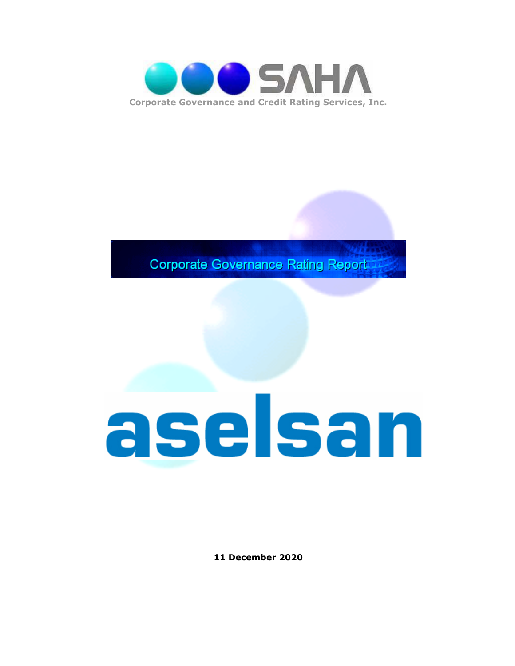

**Corporate Governance Rating Report** 

# aselsan

**11 December 2020**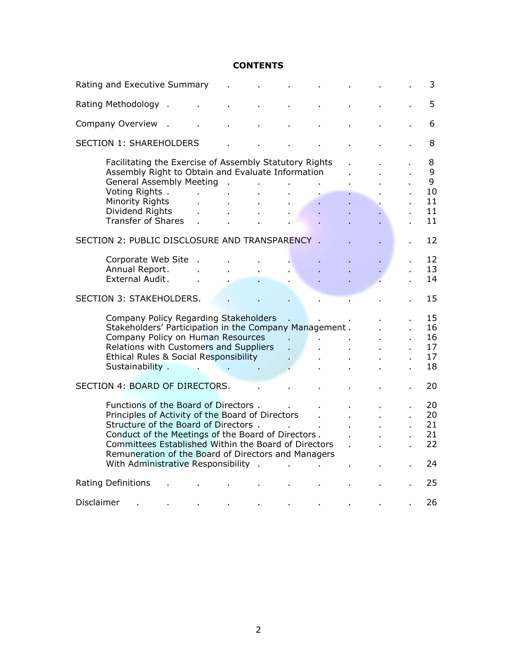#### **CONTENTS**

| Rating and Executive Summary                   |                                                                                                                                                                                                                                                                                                                                               |    |  |              |  |    |  |  | 3                                   |
|------------------------------------------------|-----------------------------------------------------------------------------------------------------------------------------------------------------------------------------------------------------------------------------------------------------------------------------------------------------------------------------------------------|----|--|--------------|--|----|--|--|-------------------------------------|
| Rating Methodology                             |                                                                                                                                                                                                                                                                                                                                               |    |  |              |  |    |  |  | 5                                   |
| Company Overview                               |                                                                                                                                                                                                                                                                                                                                               |    |  |              |  |    |  |  | 6                                   |
| <b>SECTION 1: SHAREHOLDERS</b>                 |                                                                                                                                                                                                                                                                                                                                               |    |  |              |  |    |  |  | 8                                   |
|                                                | Facilitating the Exercise of Assembly Statutory Rights<br>Assembly Right to Obtain and Evaluate Information<br><b>General Assembly Meeting</b><br>Voting Rights.<br>Minority Rights<br>Dividend Rights<br><b>Transfer of Shares</b>                                                                                                           | ÷. |  | $\sim$<br>ä, |  |    |  |  | 8<br>9<br>9<br>10<br>11<br>11<br>11 |
| SECTION 2: PUBLIC DISCLOSURE AND TRANSPARENCY. |                                                                                                                                                                                                                                                                                                                                               |    |  |              |  |    |  |  | 12                                  |
|                                                | Corporate Web Site<br>Annual Report.<br>External Audit.                                                                                                                                                                                                                                                                                       |    |  |              |  |    |  |  | 12<br>13<br>14                      |
| <b>SECTION 3: STAKEHOLDERS.</b>                |                                                                                                                                                                                                                                                                                                                                               |    |  |              |  |    |  |  | 15                                  |
|                                                | Company Policy Regarding Stakeholders<br>Stakeholders' Participation in the Company Management.<br>Company Policy on Human Resources<br>Relations with Customers and Suppliers<br>Ethical Rules & Social Responsibility<br>Sustainability.                                                                                                    | ä. |  | V.           |  |    |  |  | 15<br>16<br>16<br>17<br>17<br>18    |
| SECTION 4: BOARD OF DIRECTORS.                 |                                                                                                                                                                                                                                                                                                                                               |    |  |              |  | 20 |  |  |                                     |
|                                                | Functions of the Board of Directors.<br>Principles of Activity of the Board of Directors<br>Structure of the Board of Directors.<br>Conduct of the Meetings of the Board of Directors.<br>Committees Established Within the Board of Directors<br>Remuneration of the Board of Directors and Managers<br>With Administrative Responsibility . |    |  |              |  |    |  |  | 20<br>20<br>21<br>21<br>22<br>24    |
| <b>Rating Definitions</b>                      |                                                                                                                                                                                                                                                                                                                                               |    |  |              |  |    |  |  | 25                                  |
| Disclaimer                                     |                                                                                                                                                                                                                                                                                                                                               |    |  |              |  |    |  |  | 26                                  |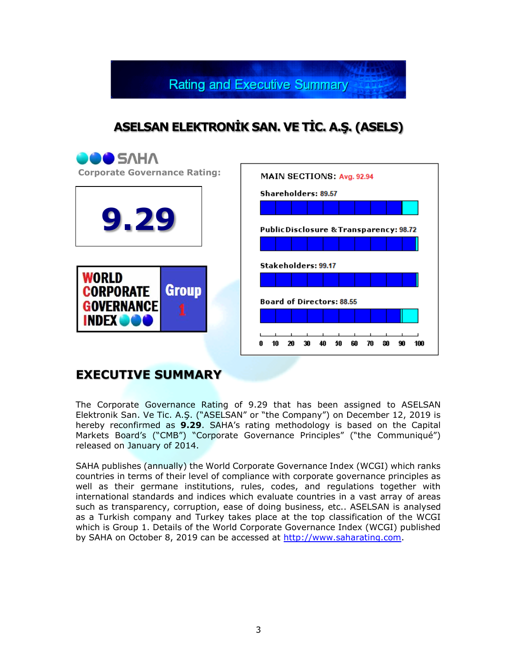**Rating and Executive Summary** 

## **ASELSAN ELEKTRONİK SAN. VE TİC. A.Ş. (ASELS)**



### **EXECUTIVE SUMMARY**

The Corporate Governance Rating of 9.29 that has been assigned to ASELSAN Elektronik San. Ve Tic. A.Ş. ("ASELSAN" or "the Company") on December 12, 2019 is hereby reconfirmed as **9.29**. SAHA's rating methodology is based on the Capital Markets Board's ("CMB") "Corporate Governance Principles" ("the Communiqué") released on January of 2014.

SAHA publishes (annually) the World Corporate Governance Index (WCGI) which ranks countries in terms of their level of compliance with corporate governance principles as well as their germane institutions, rules, codes, and regulations together with international standards and indices which evaluate countries in a vast array of areas such as transparency, corruption, ease of doing business, etc.. ASELSAN is analysed as a Turkish company and Turkey takes place at the top classification of the WCGI which is Group 1. Details of the World Corporate Governance Index (WCGI) published by SAHA on October 8, 2019 can be accessed at [http://www.saharating.com.](http://www.saharating.com/)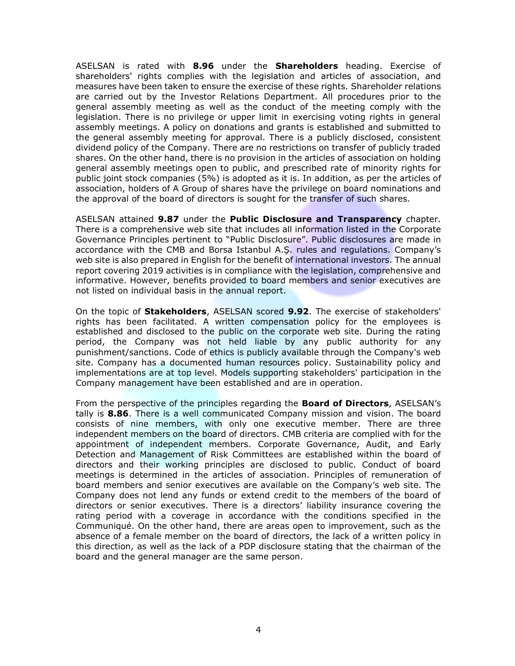ASELSAN is rated with **8.96** under the **Shareholders** heading. Exercise of shareholders' rights complies with the legislation and articles of association, and measures have been taken to ensure the exercise of these rights. Shareholder relations are carried out by the Investor Relations Department. All procedures prior to the general assembly meeting as well as the conduct of the meeting comply with the legislation. There is no privilege or upper limit in exercising voting rights in general assembly meetings. A policy on donations and grants is established and submitted to the general assembly meeting for approval. There is a publicly disclosed, consistent dividend policy of the Company. There are no restrictions on transfer of publicly traded shares. On the other hand, there is no provision in the articles of association on holding general assembly meetings open to public, and prescribed rate of minority rights for public joint stock companies (5%) is adopted as it is. In addition, as per the articles of association, holders of A Group of shares have the privilege on board nominations and the approval of the board of directors is sought for the transfer of such shares.

ASELSAN attained **9.87** under the **Public Disclosure and Transparency** chapter. There is a comprehensive web site that includes all information listed in the Corporate Governance Principles pertinent to "Public Disclosure". Public disclosures are made in accordance with the CMB and Borsa Istanbul A.Ş. rules and regulations. Company's web site is also prepared in English for the benefit of international investors. The annual report covering 2019 activities is in compliance with the legislation, comprehensive and informative. However, benefits provided to board members and senior executives are not listed on individual basis in the annual report.

On the topic of **Stakeholders**, ASELSAN scored **9.92**. The exercise of stakeholders' rights has been facilitated. A written compensation policy for the employees is established and disclosed to the public on the corporate web site. During the rating period, the Company was not held liable by any public authority for any punishment/sanctions. Code of ethics is publicly available through the Company's web site. Company has a documented human resources policy. Sustainability policy and implementations are at top level. Models supporting stakeholders' participation in the Company management have been established and are in operation.

From the perspective of the principles regarding the **Board of Directors**, ASELSAN's tally is **8.86**. There is a well communicated Company mission and vision. The board consists of nine members, with only one executive member. There are three independent members on the board of directors. CMB criteria are complied with for the appointment of independent members. Corporate Governance, Audit, and Early Detection and Management of Risk Committees are established within the board of directors and their working principles are disclosed to public. Conduct of board meetings is determined in the articles of association. Principles of remuneration of board members and senior executives are available on the Company's web site. The Company does not lend any funds or extend credit to the members of the board of directors or senior executives. There is a directors' liability insurance covering the rating period with a coverage in accordance with the conditions specified in the Communiqué. On the other hand, there are areas open to improvement, such as the absence of a female member on the board of directors, the lack of a written policy in this direction, as well as the lack of a PDP disclosure stating that the chairman of the board and the general manager are the same person.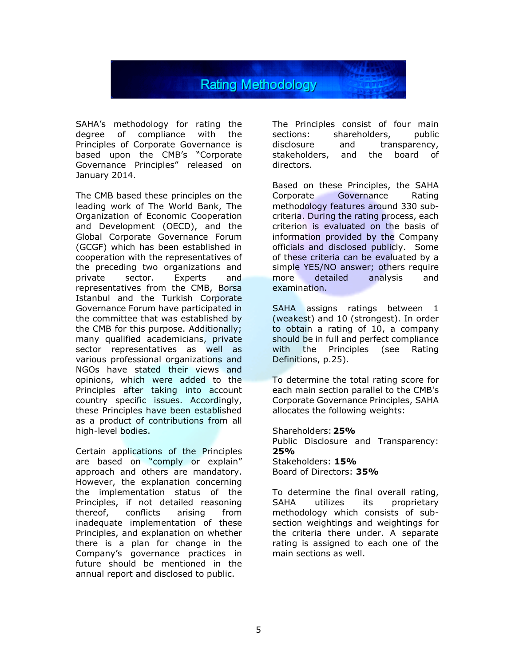

SAHA's methodology for rating the degree of compliance with the Principles of Corporate Governance is based upon the CMB's "Corporate Governance Principles" released on January 2014.

The CMB based these principles on the leading work of The World Bank, The Organization of Economic Cooperation and Development (OECD), and the Global Corporate Governance Forum (GCGF) which has been established in cooperation with the representatives of the preceding two organizations and private sector. Experts and representatives from the CMB, Borsa Istanbul and the Turkish Corporate Governance Forum have participated in the committee that was established by the CMB for this purpose. Additionally; many qualified academicians, private sector representatives as well as various professional organizations and NGOs have stated their views and opinions, which were added to the Principles after taking into account country specific issues. Accordingly, these Principles have been established as a product of contributions from all high-level bodies.

Certain applications of the Principles are based on "comply or explain" approach and others are mandatory. However, the explanation concerning the implementation status of the Principles, if not detailed reasoning thereof, conflicts arising from inadequate implementation of these Principles, and explanation on whether there is a plan for change in the Company's governance practices in future should be mentioned in the annual report and disclosed to public.

The Principles consist of four main sections: shareholders, public disclosure and transparency, stakeholders, and the board of directors.

Based on these Principles, the SAHA Corporate Governance Rating methodology features around 330 subcriteria. During the rating process, each criterion is evaluated on the basis of information provided by the Company officials and disclosed publicly. Some of these criteria can be evaluated by a simple YES/NO answer; others require more detailed analysis and examination.

SAHA assigns ratings between 1 (weakest) and 10 (strongest). In order to obtain a rating of 10, a company should be in full and perfect compliance with the Principles (see Rating Definitions, p.25).

To determine the total rating score for each main section parallel to the CMB's Corporate Governance Principles, SAHA allocates the following weights:

Shareholders:**25%** Public Disclosure and Transparency: **25%** Stakeholders: **15%** Board of Directors: **35%**

To determine the final overall rating, SAHA utilizes its proprietary methodology which consists of subsection weightings and weightings for the criteria there under. A separate rating is assigned to each one of the main sections as well.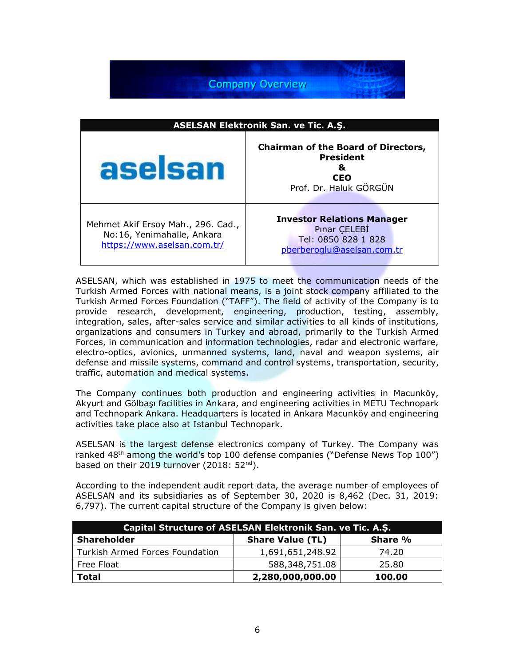**Company Overview** 

| <b>ASELSAN Elektronik San. ve Tic. A.S.</b>                                                     |                                                                                                             |  |  |  |
|-------------------------------------------------------------------------------------------------|-------------------------------------------------------------------------------------------------------------|--|--|--|
| aselsan                                                                                         | <b>Chairman of the Board of Directors,</b><br><b>President</b><br>&<br><b>CEO</b><br>Prof. Dr. Haluk GÖRGÜN |  |  |  |
| Mehmet Akif Ersoy Mah., 296. Cad.,<br>No:16, Yenimahalle, Ankara<br>https://www.aselsan.com.tr/ | <b>Investor Relations Manager</b><br>Pinar CELEBI<br>Tel: 0850 828 1 828<br>pberberoglu@aselsan.com.tr      |  |  |  |

ASELSAN, which was established in 1975 to meet the communication needs of the Turkish Armed Forces with national means, is a joint stock company affiliated to the Turkish Armed Forces Foundation ("TAFF"). The field of activity of the Company is to provide research, development, engineering, production, testing, assembly, integration, sales, after-sales service and similar activities to all kinds of institutions, organizations and consumers in Turkey and abroad, primarily to the Turkish Armed Forces, in communication and information technologies, radar and electronic warfare, electro-optics, avionics, unmanned systems, land, naval and weapon systems, air defense and missile systems, command and control systems, transportation, security, traffic, automation and medical systems.

The Company continues both production and engineering activities in Macunköy, Akyurt and Gölbaşı facilities in Ankara, and engineering activities in METU Technopark and Technopark Ankara. Headquarters is located in Ankara Macunköy and engineering activities take place also at Istanbul Technopark.

ASELSAN is the largest defense electronics company of Turkey. The Company was ranked 48<sup>th</sup> among the world's top 100 defense companies ("Defense News Top 100") based on their 2019 turnover (2018: 52<sup>nd</sup>).

According to the independent audit report data, the average number of employees of ASELSAN and its subsidiaries as of September 30, 2020 is 8,462 (Dec. 31, 2019: 6,797). The current capital structure of the Company is given below:

| Capital Structure of ASELSAN Elektronik San. ve Tic. A.S. |                         |         |  |  |
|-----------------------------------------------------------|-------------------------|---------|--|--|
| <b>Shareholder</b>                                        | <b>Share Value (TL)</b> | Share % |  |  |
| Turkish Armed Forces Foundation                           | 1,691,651,248.92        | 74.20   |  |  |
| Free Float                                                | 588,348,751.08          | 25.80   |  |  |
| <b>Total</b>                                              | 2,280,000,000.00        | 100.00  |  |  |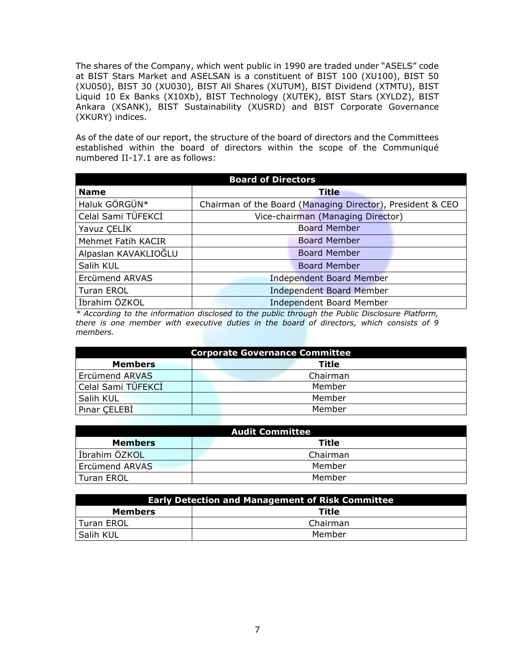The shares of the Company, which went public in 1990 are traded under "ASELS" code at BIST Stars Market and ASELSAN is a constituent of BIST 100 (XU100), BIST 50 (XU050), BIST 30 (XU030), BIST All Shares (XUTUM), BIST Dividend (XTMTU), BIST Liquid 10 Ex Banks (X10Xb), BIST Technology (XUTEK), BIST Stars (XYLDZ), BIST Ankara (XSANK), BIST Sustainability (XUSRD) and BIST Corporate Governance (XKURY) indices.

As of the date of our report, the structure of the board of directors and the Committees established within the board of directors within the scope of the Communiqué numbered II-17.1 are as follows:

| <b>Board of Directors</b> |                                   |                                                            |  |  |
|---------------------------|-----------------------------------|------------------------------------------------------------|--|--|
| <b>Name</b>               |                                   | Title                                                      |  |  |
| Haluk GÖRGÜN*             |                                   | Chairman of the Board (Managing Director), President & CEO |  |  |
| Celal Sami TÜFEKCİ        | Vice-chairman (Managing Director) |                                                            |  |  |
| Yavuz ÇELİK               |                                   | <b>Board Member</b>                                        |  |  |
| Mehmet Fatih KACIR        |                                   | <b>Board Member</b>                                        |  |  |
| Alpaslan KAVAKLIOĞLU      |                                   | <b>Board Member</b>                                        |  |  |
| Salih KUL                 |                                   | <b>Board Member</b>                                        |  |  |
| Ercümend ARVAS            | <b>Independent Board Member</b>   |                                                            |  |  |
| Turan EROL                | <b>Independent Board Member</b>   |                                                            |  |  |
| İbrahim ÖZKOL             | <b>Independent Board Member</b>   |                                                            |  |  |

*\* According to the information disclosed to the public through the Public Disclosure Platform, there is one member with executive duties in the board of directors, which consists of 9 members.*

| <b>Corporate Governance Committee</b> |          |  |  |  |
|---------------------------------------|----------|--|--|--|
| <b>Members</b><br><b>Title</b>        |          |  |  |  |
| Ercümend ARVAS                        | Chairman |  |  |  |
| Celal Sami TÜFEKCI                    | Member   |  |  |  |
| Salih KUL                             | Member   |  |  |  |
| Pinar CELEBI                          | Member   |  |  |  |

| <b>Audit Committee</b>  |          |  |  |  |
|-------------------------|----------|--|--|--|
| Title<br><b>Members</b> |          |  |  |  |
| İbrahim ÖZKOL           | Chairman |  |  |  |
| Ercümend ARVAS          | Member   |  |  |  |
| Turan EROL              | Member   |  |  |  |

| <b>Early Detection and Management of Risk Committee</b> |          |  |  |
|---------------------------------------------------------|----------|--|--|
| <b>Members</b>                                          | Title    |  |  |
| Turan EROL                                              | Chairman |  |  |
| Salih KUL                                               | Member   |  |  |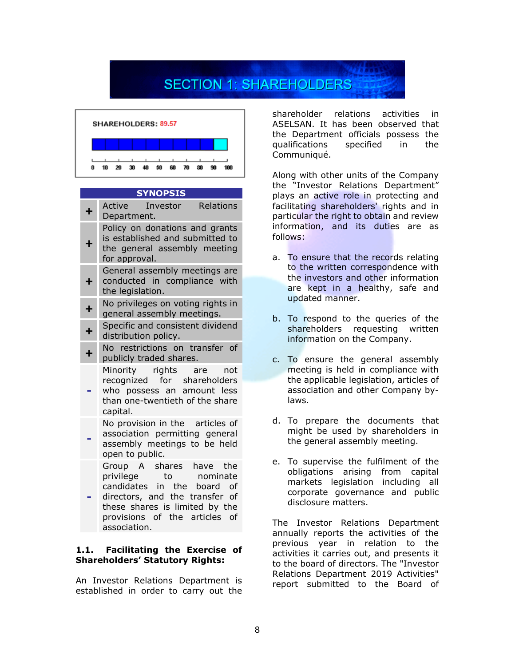# **SECTION 1: SHAREHOLDERS**



#### **SYNOPSIS**

| ┿         | Active Investor Relations<br>Department.                                                                                                                                                                  |
|-----------|-----------------------------------------------------------------------------------------------------------------------------------------------------------------------------------------------------------|
| ╋         | Policy on donations and grants<br>is established and submitted to<br>the general assembly meeting<br>for approval.                                                                                        |
| ٠         | General assembly meetings are<br>conducted in compliance with<br>the legislation.                                                                                                                         |
| $\ddot{}$ | No privileges on voting rights in<br>general assembly meetings.                                                                                                                                           |
| $\ddot{}$ | Specific and consistent dividend<br>distribution policy.                                                                                                                                                  |
| $\ddot{}$ | No restrictions on transfer of<br>publicly traded shares.                                                                                                                                                 |
|           | Minority rights are<br>not<br>recognized for shareholders<br>who possess an amount less<br>than one-twentieth of the share<br>capital.                                                                    |
|           | No provision in the articles of<br>association permitting general<br>assembly meetings to be held<br>open to public.                                                                                      |
|           | Group A shares have<br>the<br>privilege<br>to nominate<br>candidates in the board of<br>directors, and the transfer of<br>these shares is limited by the<br>provisions of the articles of<br>association. |

#### **1.1. Facilitating the Exercise of Shareholders' Statutory Rights:**

An Investor Relations Department is established in order to carry out the shareholder relations activities in ASELSAN. It has been observed that the Department officials possess the qualifications specified in the Communiqué.

Along with other units of the Company the "Investor Relations Department" plays an active role in protecting and facilitating shareholders' rights and in particular the right to obtain and review information, and its duties are as follows:

- a. To ensure that the records relating to the written correspondence with the investors and other information are kept in a healthy, safe and updated manner.
- b. To respond to the queries of the shareholders requesting written information on the Company.
- c. To ensure the general assembly meeting is held in compliance with the applicable legislation, articles of association and other Company bylaws.
- d. To prepare the documents that might be used by shareholders in the general assembly meeting.
- e. To supervise the fulfilment of the obligations arising from capital markets legislation including all corporate governance and public disclosure matters.

The Investor Relations Department annually reports the activities of the previous year in relation to the activities it carries out, and presents it to the board of directors. The "Investor Relations Department 2019 Activities" report submitted to the Board of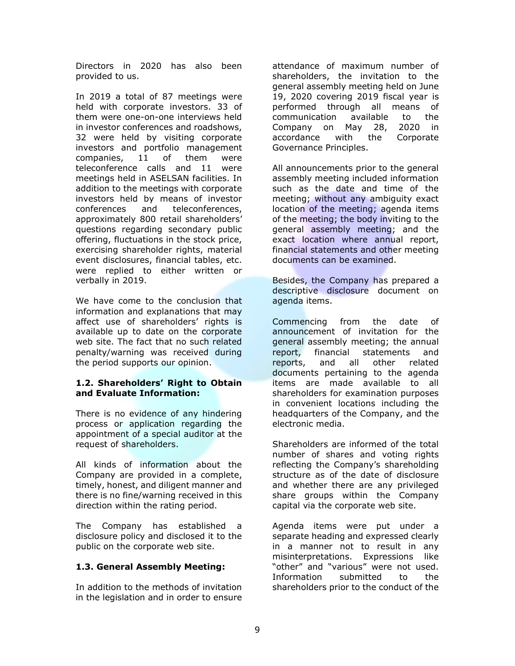Directors in 2020 has also been provided to us.

In 2019 a total of 87 meetings were held with corporate investors. 33 of them were one-on-one interviews held in investor conferences and roadshows, 32 were held by visiting corporate investors and portfolio management companies, 11 of them were teleconference calls and 11 were meetings held in ASELSAN facilities. In addition to the meetings with corporate investors held by means of investor conferences and teleconferences, approximately 800 retail shareholders' questions regarding secondary public offering, fluctuations in the stock price, exercising shareholder rights, material event disclosures, financial tables, etc. were replied to either written or verbally in 2019.

We have come to the conclusion that information and explanations that may affect use of shareholders' rights is available up to date on the corporate web site. The fact that no such related penalty/warning was received during the period supports our opinion.

#### **1.2. Shareholders' Right to Obtain and Evaluate Information:**

There is no evidence of any hindering process or application regarding the appointment of a special auditor at the request of shareholders.

All kinds of information about the Company are provided in a complete, timely, honest, and diligent manner and there is no fine/warning received in this direction within the rating period.

The Company has established a disclosure policy and disclosed it to the public on the corporate web site.

#### **1.3. General Assembly Meeting:**

In addition to the methods of invitation in the legislation and in order to ensure

attendance of maximum number of shareholders, the invitation to the general assembly meeting held on June 19, 2020 covering 2019 fiscal year is performed through all means of communication available to the Company on May 28, 2020 in accordance with the Corporate Governance Principles.

All announcements prior to the general assembly meeting included information such as the date and time of the meeting; without any ambiguity exact location of the meeting; agenda items of the meeting; the body inviting to the general assembly meeting; and the exact location where annual report, financial statements and other meeting documents can be examined.

Besides, the Company has prepared a descriptive disclosure document on agenda items.

Commencing from the date of announcement of invitation for the general assembly meeting; the annual report, financial statements and reports, and all other related documents pertaining to the agenda items are made available to all shareholders for examination purposes in convenient locations including the headquarters of the Company, and the electronic media.

Shareholders are informed of the total number of shares and voting rights reflecting the Company's shareholding structure as of the date of disclosure and whether there are any privileged share groups within the Company capital via the corporate web site.

Agenda items were put under a separate heading and expressed clearly in a manner not to result in any misinterpretations. Expressions like "other" and "various" were not used. Information submitted to the shareholders prior to the conduct of the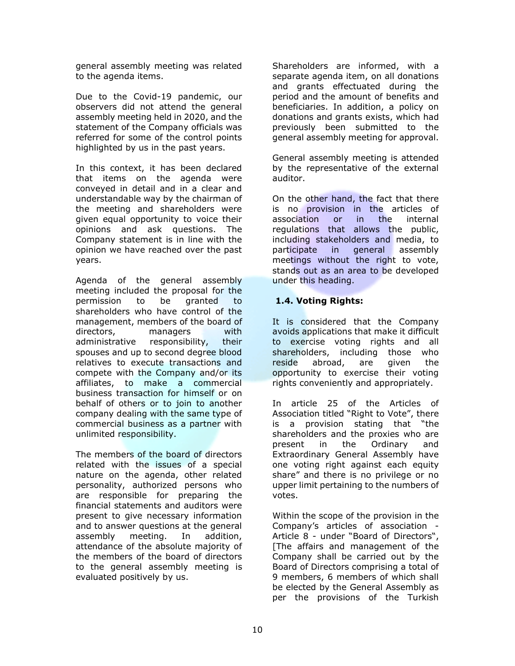general assembly meeting was related to the agenda items.

Due to the Covid-19 pandemic, our observers did not attend the general assembly meeting held in 2020, and the statement of the Company officials was referred for some of the control points highlighted by us in the past years.

In this context, it has been declared that items on the agenda were conveyed in detail and in a clear and understandable way by the chairman of the meeting and shareholders were given equal opportunity to voice their opinions and ask questions. The Company statement is in line with the opinion we have reached over the past years.

Agenda of the general assembly meeting included the proposal for the permission to be granted to shareholders who have control of the management, members of the board of directors, managers with administrative responsibility, their spouses and up to second degree blood relatives to execute transactions and compete with the Company and/or its affiliates, to make a commercial business transaction for himself or on behalf of others or to join to another company dealing with the same type of commercial business as a partner with unlimited responsibility.

The members of the board of directors related with the issues of a special nature on the agenda, other related personality, authorized persons who are responsible for preparing the financial statements and auditors were present to give necessary information and to answer questions at the general assembly meeting. In addition, attendance of the absolute majority of the members of the board of directors to the general assembly meeting is evaluated positively by us.

Shareholders are informed, with a separate agenda item, on all donations and grants effectuated during the period and the amount of benefits and beneficiaries. In addition, a policy on donations and grants exists, which had previously been submitted to the general assembly meeting for approval.

General assembly meeting is attended by the representative of the external auditor.

On the other hand, the fact that there is no provision in the articles of association or in the internal regulations that allows the public, including stakeholders and media, to participate in general assembly meetings without the right to vote, stands out as an area to be developed under this heading.

#### **1.4. Voting Rights:**

It is considered that the Company avoids applications that make it difficult to exercise voting rights and all shareholders, including those who reside abroad, are given the opportunity to exercise their voting rights conveniently and appropriately.

In article 25 of the Articles of Association titled "Right to Vote", there is a provision stating that "the shareholders and the proxies who are present in the Ordinary and Extraordinary General Assembly have one voting right against each equity share" and there is no privilege or no upper limit pertaining to the numbers of votes.

Within the scope of the provision in the Company's articles of association - Article 8 - under "Board of Directors", [The affairs and management of the Company shall be carried out by the Board of Directors comprising a total of 9 members, 6 members of which shall be elected by the General Assembly as per the provisions of the Turkish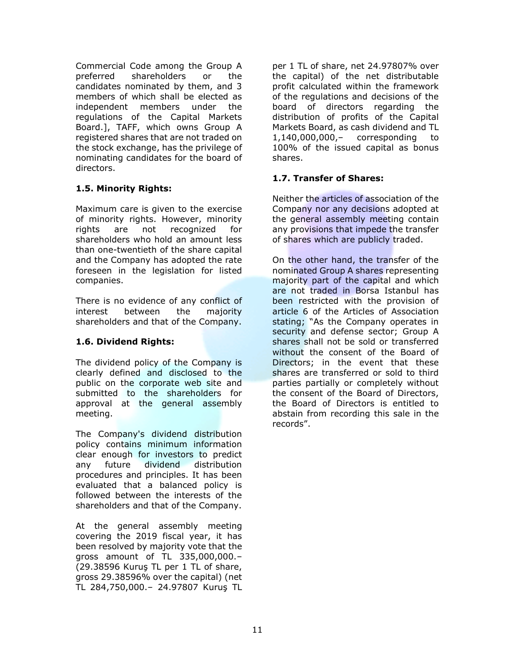Commercial Code among the Group A preferred shareholders or the candidates nominated by them, and 3 members of which shall be elected as independent members under the regulations of the Capital Markets Board.], TAFF, which owns Group A registered shares that are not traded on the stock exchange, has the privilege of nominating candidates for the board of directors.

#### **1.5. Minority Rights:**

Maximum care is given to the exercise of minority rights. However, minority rights are not recognized for shareholders who hold an amount less than one-twentieth of the share capital and the Company has adopted the rate foreseen in the legislation for listed companies.

There is no evidence of any conflict of interest between the majority shareholders and that of the Company.

#### **1.6. Dividend Rights:**

The dividend policy of the Company is clearly defined and disclosed to the public on the corporate web site and submitted to the shareholders for approval at the general assembly meeting.

The Company's dividend distribution policy contains minimum information clear enough for investors to predict any future dividend distribution procedures and principles. It has been evaluated that a balanced policy is followed between the interests of the shareholders and that of the Company.

At the general assembly meeting covering the 2019 fiscal year, it has been resolved by majority vote that the gross amount of TL 335,000,000.– (29.38596 Kuruş TL per 1 TL of share, gross 29.38596% over the capital) (net TL 284,750,000.– 24.97807 Kuruş TL

per 1 TL of share, net 24.97807% over the capital) of the net distributable profit calculated within the framework of the regulations and decisions of the board of directors regarding the distribution of profits of the Capital Markets Board, as cash dividend and TL 1,140,000,000,– corresponding to 100% of the issued capital as bonus shares.

#### **1.7. Transfer of Shares:**

Neither the articles of association of the Company nor any decisions adopted at the general assembly meeting contain any provisions that impede the transfer of shares which are publicly traded.

On the other hand, the transfer of the nominated Group A shares representing majority part of the capital and which are not traded in Borsa Istanbul has been restricted with the provision of article 6 of the Articles of Association stating; "As the Company operates in security and defense sector; Group A shares shall not be sold or transferred without the consent of the Board of Directors; in the event that these shares are transferred or sold to third parties partially or completely without the consent of the Board of Directors, the Board of Directors is entitled to abstain from recording this sale in the records".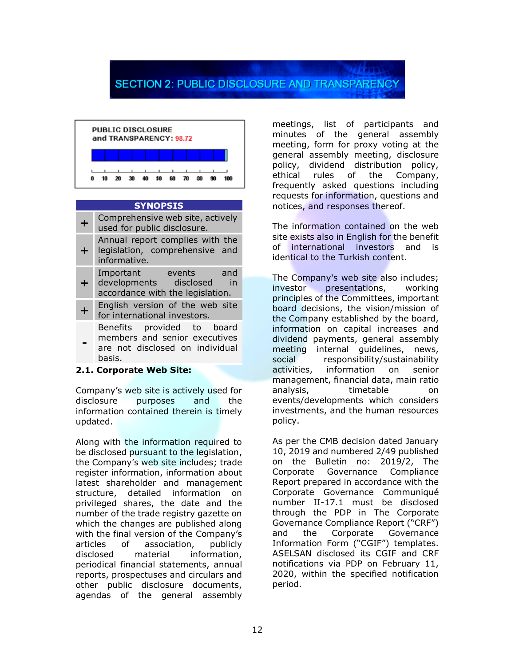## **SECTION 2: PUBLIC DISCLOSURE AND TRANSPARENCY**



#### **SYNOPSIS**

| Comprehensive web site, actively<br>used for public disclosure.                                          |
|----------------------------------------------------------------------------------------------------------|
| Annual report complies with the<br>legislation, comprehensive and<br>informative.                        |
| Important<br>events<br>and<br>developments disclosed in<br>accordance with the legislation.              |
| English version of the web site<br>for international investors.                                          |
| Benefits provided to board<br>members and senior executives<br>are not disclosed on individual<br>basis. |

#### **2.1. Corporate Web Site:**

Company's web site is actively used for disclosure purposes and the information contained therein is timely updated.

Along with the information required to be disclosed pursuant to the legislation, the Company's web site includes; trade register information, information about latest shareholder and management structure, detailed information on privileged shares, the date and the number of the trade registry gazette on which the changes are published along with the final version of the Company's articles of association, publicly disclosed material information, periodical financial statements, annual reports, prospectuses and circulars and other public disclosure documents, agendas of the general assembly

meetings, list of participants and minutes of the general assembly meeting, form for proxy voting at the general assembly meeting, disclosure policy, dividend distribution policy, ethical rules of the Company, frequently asked questions including requests for information, questions and notices, and responses thereof.

The information contained on the web site exists also in English for the benefit of international investors and is identical to the Turkish content.

The Company's web site also includes; investor presentations, working principles of the Committees, important board decisions, the vision/mission of the Company established by the board, information on capital increases and dividend payments, general assembly meeting internal guidelines, news, social responsibility/sustainability activities, information on senior management, financial data, main ratio analysis, timetable on events/developments which considers investments, and the human resources policy.

As per the CMB decision dated January 10, 2019 and numbered 2/49 published on the Bulletin no: 2019/2, The Corporate Governance Compliance Report prepared in accordance with the Corporate Governance Communiqué number II-17.1 must be disclosed through the PDP in The Corporate Governance Compliance Report ("CRF") and the Corporate Governance Information Form ("CGIF") templates. ASELSAN disclosed its CGIF and CRF notifications via PDP on February 11, 2020, within the specified notification period.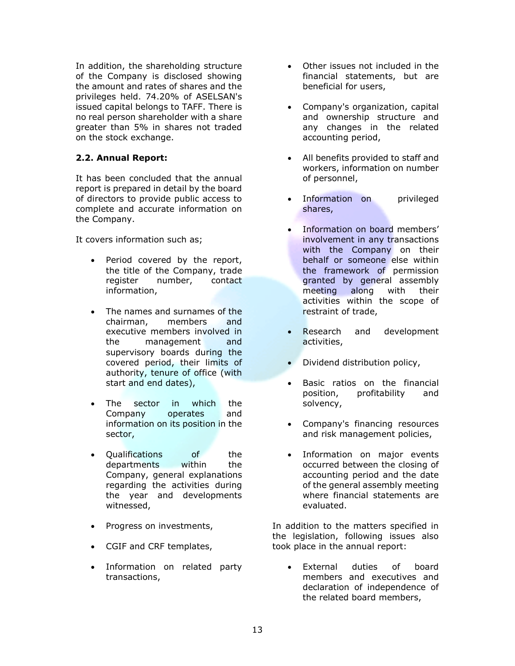In addition, the shareholding structure of the Company is disclosed showing the amount and rates of shares and the privileges held. 74.20% of ASELSAN's issued capital belongs to TAFF. There is no real person shareholder with a share greater than 5% in shares not traded on the stock exchange.

#### **2.2. Annual Report:**

It has been concluded that the annual report is prepared in detail by the board of directors to provide public access to complete and accurate information on the Company.

It covers information such as;

- Period covered by the report, the title of the Company, trade register number, contact information,
- The names and surnames of the chairman, members and executive members involved in the management and supervisory boards during the covered period, their limits of authority, tenure of office (with start and end dates),
- The sector in which the Company operates and information on its position in the sector,
- Qualifications of the departments within the Company, general explanations regarding the activities during the year and developments witnessed,
- Progress on investments,
- CGIF and CRF templates,
- Information on related party transactions,
- Other issues not included in the financial statements, but are beneficial for users,
- Company's organization, capital and ownership structure and any changes in the related accounting period,
- All benefits provided to staff and workers, information on number of personnel,
- Information on privileged shares,
- Information on board members' involvement in any transactions with the Company on their behalf or someone else within the framework of permission granted by general assembly meeting along with their activities within the scope of restraint of trade,
- Research and development activities,
- Dividend distribution policy,
- Basic ratios on the financial position, profitability and solvency,
- Company's financing resources and risk management policies,
- Information on major events occurred between the closing of accounting period and the date of the general assembly meeting where financial statements are evaluated.

In addition to the matters specified in the legislation, following issues also took place in the annual report:

External duties of board members and executives and declaration of independence of the related board members,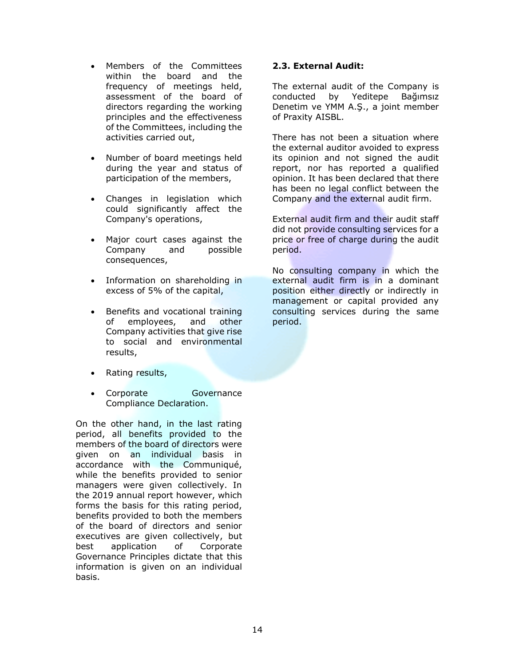- Members of the Committees within the board and the frequency of meetings held, assessment of the board of directors regarding the working principles and the effectiveness of the Committees, including the activities carried out,
- Number of board meetings held during the year and status of participation of the members,
- Changes in legislation which could significantly affect the Company's operations,
- Major court cases against the Company and possible consequences,
- Information on shareholding in excess of 5% of the capital,
- Benefits and vocational training of employees, and other Company activities that give rise to social and environmental results,
- Rating results,
- Corporate Governance Compliance Declaration.

On the other hand, in the last rating period, all benefits provided to the members of the board of directors were given on an individual basis in accordance with the Communiqué, while the benefits provided to senior managers were given collectively. In the 2019 annual report however, which forms the basis for this rating period, benefits provided to both the members of the board of directors and senior executives are given collectively, but best application of Corporate Governance Principles dictate that this information is given on an individual basis.

#### **2.3. External Audit:**

The external audit of the Company is conducted by Yeditepe Bağımsız Denetim ve YMM A.Ş., a joint member of Praxity AISBL.

There has not been a situation where the external auditor avoided to express its opinion and not signed the audit report, nor has reported a qualified opinion. It has been declared that there has been no legal conflict between the Company and the external audit firm.

External audit firm and their audit staff did not provide consulting services for a price or free of charge during the audit period.

No consulting company in which the external audit firm is in a dominant position either directly or indirectly in management or capital provided any consulting services during the same period.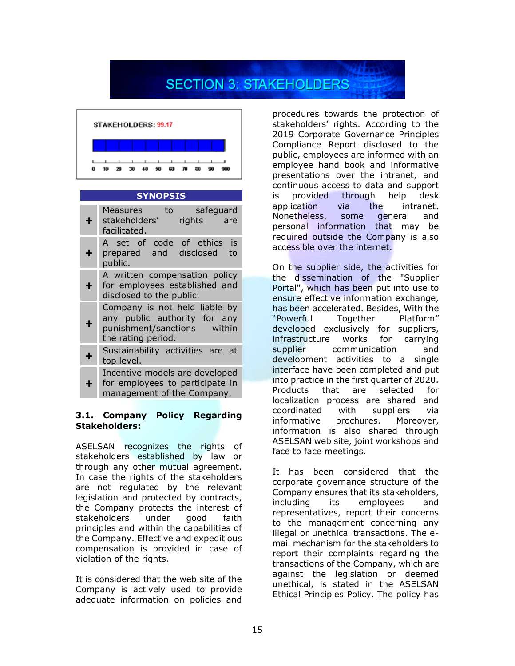# **SECTION 3: STAKEHOLDERS**



#### **SYNOPSIS**

| ÷. | safeguard<br>Measures<br>to<br>stakeholders'<br>rights<br>are<br>facilitated.                                         |
|----|-----------------------------------------------------------------------------------------------------------------------|
| +  | A set of code of ethics<br>is<br>prepared and disclosed<br>to<br>public.                                              |
| +. | A written compensation policy<br>for employees established and<br>disclosed to the public.                            |
| ╋  | Company is not held liable by<br>any public authority for any<br>punishment/sanctions<br>within<br>the rating period. |
| ╋  | Sustainability activities are at<br>top level.                                                                        |
| ÷  | Incentive models are developed<br>for employees to participate in<br>management of the Company.                       |

#### **3.1. Company Policy Regarding Stakeholders:**

ASELSAN recognizes the rights of stakeholders established by law or through any other mutual agreement. In case the rights of the stakeholders are not regulated by the relevant legislation and protected by contracts, the Company protects the interest of stakeholders under good faith principles and within the capabilities of the Company. Effective and expeditious compensation is provided in case of violation of the rights.

It is considered that the web site of the Company is actively used to provide adequate information on policies and

procedures towards the protection of stakeholders' rights. According to the 2019 Corporate Governance Principles Compliance Report disclosed to the public, employees are informed with an employee hand book and informative presentations over the intranet, and continuous access to data and support is provided through help desk application via the intranet. Nonetheless, some general and personal information that may be required outside the Company is also accessible over the internet.

On the supplier side, the activities for the dissemination of the "Supplier Portal", which has been put into use to ensure effective information exchange, has been accelerated. Besides, With the "Powerful Together Platform" developed exclusively for suppliers, infrastructure works for carrying supplier communication and development activities to a single interface have been completed and put into practice in the first quarter of 2020. Products that are selected for localization process are shared and coordinated with suppliers via informative brochures. Moreover, information is also shared through ASELSAN web site, joint workshops and face to face meetings.

It has been considered that the corporate governance structure of the Company ensures that its stakeholders, including its employees and representatives, report their concerns to the management concerning any illegal or unethical transactions. The email mechanism for the stakeholders to report their complaints regarding the transactions of the Company, which are against the legislation or deemed unethical, is stated in the ASELSAN Ethical Principles Policy. The policy has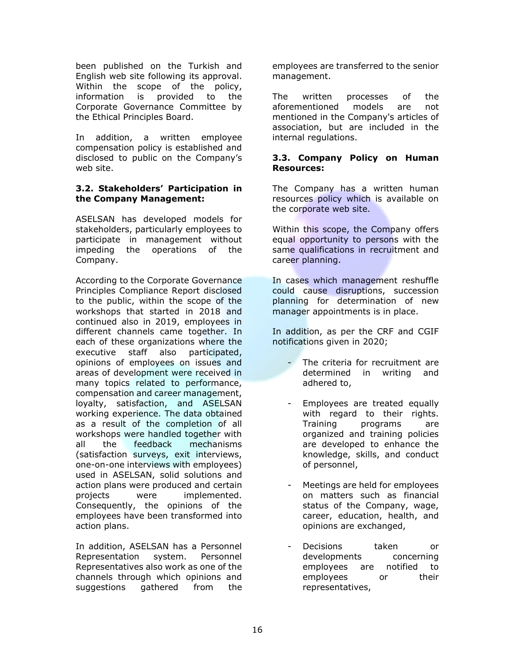been published on the Turkish and English web site following its approval. Within the scope of the policy, information is provided to the Corporate Governance Committee by the Ethical Principles Board.

In addition, a written employee compensation policy is established and disclosed to public on the Company's web site.

#### **3.2. Stakeholders' Participation in the Company Management:**

ASELSAN has developed models for stakeholders, particularly employees to participate in management without impeding the operations of the Company.

According to the Corporate Governance Principles Compliance Report disclosed to the public, within the scope of the workshops that started in 2018 and continued also in 2019, employees in different channels came together. In each of these organizations where the executive staff also participated, opinions of employees on issues and areas of development were received in many topics related to performance, compensation and career management, loyalty, satisfaction, and ASELSAN working experience. The data obtained as a result of the completion of all workshops were handled together with all the feedback mechanisms (satisfaction surveys, exit interviews, one-on-one interviews with employees) used in ASELSAN, solid solutions and action plans were produced and certain projects were implemented. Consequently, the opinions of the employees have been transformed into action plans.

In addition, ASELSAN has a Personnel Representation system. Personnel Representatives also work as one of the channels through which opinions and suggestions gathered from the

employees are transferred to the senior management.

The written processes of the aforementioned models are not mentioned in the Company's articles of association, but are included in the internal regulations.

#### **3.3. Company Policy on Human Resources:**

The Company has a written human resources policy which is available on the corporate web site.

Within this scope, the Company offers equal opportunity to persons with the same qualifications in recruitment and career planning.

In cases which management reshuffle could cause disruptions, succession planning for determination of new manager appointments is in place.

In addition, as per the CRF and CGIF notifications given in 2020;

- The criteria for recruitment are determined in writing and adhered to,
- Employees are treated equally with regard to their rights. Training programs are organized and training policies are developed to enhance the knowledge, skills, and conduct of personnel,
- Meetings are held for employees on matters such as financial status of the Company, wage, career, education, health, and opinions are exchanged,
- Decisions taken or developments concerning employees are notified to employees or their representatives,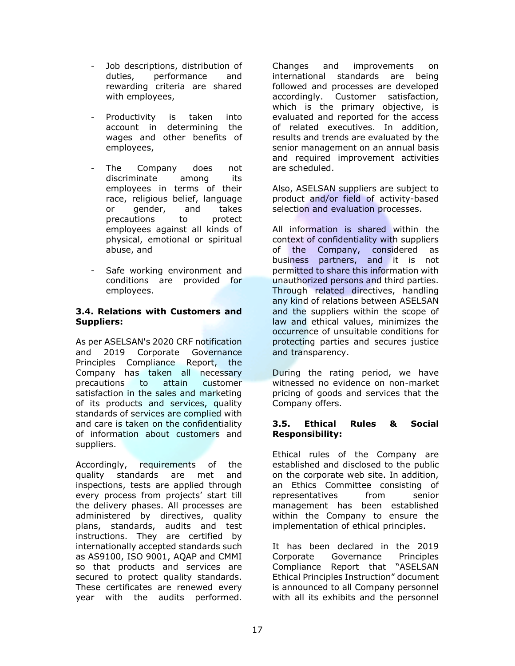- Job descriptions, distribution of duties, performance and rewarding criteria are shared with employees,
- Productivity is taken into account in determining the wages and other benefits of employees,
- The Company does not discriminate among its employees in terms of their race, religious belief, language or gender, and takes precautions to protect employees against all kinds of physical, emotional or spiritual abuse, and
- Safe working environment and conditions are provided for employees.

#### **3.4. Relations with Customers and Suppliers:**

As per ASELSAN's 2020 CRF notification and 2019 Corporate Governance Principles Compliance Report, the Company has taken all necessary precautions to attain customer satisfaction in the sales and marketing of its products and services, quality standards of services are complied with and care is taken on the confidentiality of information about customers and suppliers.

Accordingly, requirements of the quality standards are met and inspections, tests are applied through every process from projects' start till the delivery phases. All processes are administered by directives, quality plans, standards, audits and test instructions. They are certified by internationally accepted standards such as AS9100, ISO 9001, AQAP and CMMI so that products and services are secured to protect quality standards. These certificates are renewed every year with the audits performed.

Changes and improvements on international standards are being followed and processes are developed accordingly. Customer satisfaction, which is the primary objective, is evaluated and reported for the access of related executives. In addition, results and trends are evaluated by the senior management on an annual basis and required improvement activities are scheduled.

Also, ASELSAN suppliers are subject to product and/or field of activity-based selection and evaluation processes.

All information is shared within the context of confidentiality with suppliers of the Company, considered as business partners, and it is not permitted to share this information with unauthorized persons and third parties. Through related directives, handling any kind of relations between ASELSAN and the suppliers within the scope of law and ethical values, minimizes the occurrence of unsuitable conditions for protecting parties and secures justice and transparency.

During the rating period, we have witnessed no evidence on non-market pricing of goods and services that the Company offers.

#### **3.5. Ethical Rules & Social Responsibility:**

Ethical rules of the Company are established and disclosed to the public on the corporate web site. In addition, an Ethics Committee consisting of representatives from senior management has been established within the Company to ensure the implementation of ethical principles.

It has been declared in the 2019 Corporate Governance Principles Compliance Report that "ASELSAN Ethical Principles Instruction" document is announced to all Company personnel with all its exhibits and the personnel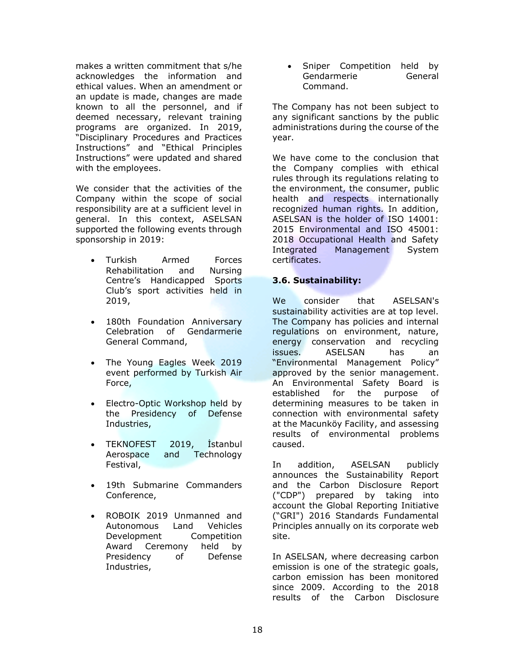makes a written commitment that s/he acknowledges the information and ethical values. When an amendment or an update is made, changes are made known to all the personnel, and if deemed necessary, relevant training programs are organized. In 2019, "Disciplinary Procedures and Practices Instructions" and "Ethical Principles Instructions" were updated and shared with the employees.

We consider that the activities of the Company within the scope of social responsibility are at a sufficient level in general. In this context, ASELSAN supported the following events through sponsorship in 2019:

- Turkish Armed Forces Rehabilitation and Nursing Centre's Handicapped Sports Club's sport activities held in 2019,
- 180th Foundation Anniversary Celebration of Gendarmerie General Command,
- The Young Eagles Week 2019 event performed by Turkish Air Force,
- Electro-Optic Workshop held by the Presidency of Defense Industries,
- TEKNOFEST 2019, İstanbul Aerospace and Technology Festival,
- 19th Submarine Commanders Conference,
- ROBOIK 2019 Unmanned and Autonomous Land Vehicles Development Competition Award Ceremony held by Presidency of Defense Industries,

• Sniper Competition held by Gendarmerie General Command.

The Company has not been subject to any significant sanctions by the public administrations during the course of the year.

We have come to the conclusion that the Company complies with ethical rules through its regulations relating to the environment, the consumer, public health and respects internationally recognized human rights. In addition, ASELSAN is the holder of ISO 14001: 2015 Environmental and ISO 45001: 2018 Occupational Health and Safety Integrated Management System certificates.

#### **3.6. Sustainability:**

We consider that ASELSAN's sustainability activities are at top level. The Company has policies and internal regulations on environment, nature, energy conservation and recycling issues. ASELSAN has an "Environmental Management Policy" approved by the senior management. An Environmental Safety Board is established for the purpose of determining measures to be taken in connection with environmental safety at the Macunköy Facility, and assessing results of environmental problems caused.

In addition, ASELSAN publicly announces the Sustainability Report and the Carbon Disclosure Report ("CDP") prepared by taking into account the Global Reporting Initiative ("GRI") 2016 Standards Fundamental Principles annually on its corporate web site.

In ASELSAN, where decreasing carbon emission is one of the strategic goals, carbon emission has been monitored since 2009. According to the 2018 results of the Carbon Disclosure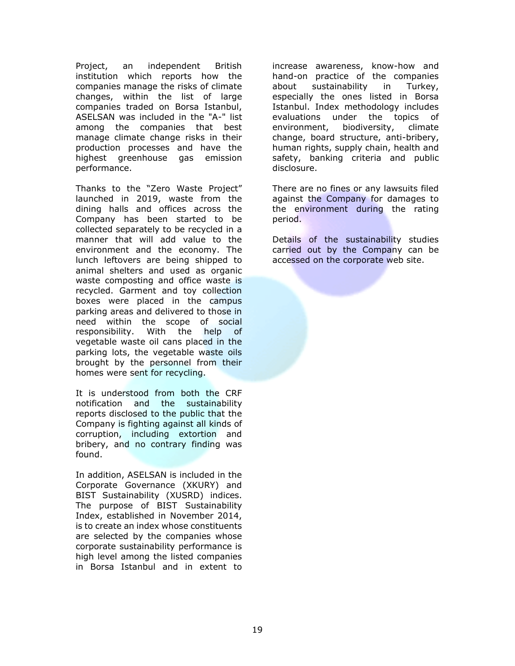Project, an independent British institution which reports how the companies manage the risks of climate changes, within the list of large companies traded on Borsa Istanbul, ASELSAN was included in the "A-" list among the companies that best manage climate change risks in their production processes and have the highest greenhouse gas emission performance.

Thanks to the "Zero Waste Project" launched in 2019, waste from the dining halls and offices across the Company has been started to be collected separately to be recycled in a manner that will add value to the environment and the economy. The lunch leftovers are being shipped to animal shelters and used as organic waste composting and office waste is recycled. Garment and toy collection boxes were placed in the campus parking areas and delivered to those in need within the scope of social responsibility. With the help of vegetable waste oil cans placed in the parking lots, the vegetable waste oils brought by the personnel from their homes were sent for recycling.

It is understood from both the CRF notification and the sustainability reports disclosed to the public that the Company is fighting against all kinds of corruption, including extortion and bribery, and no contrary finding was found.

In addition, ASELSAN is included in the Corporate Governance (XKURY) and BIST Sustainability (XUSRD) indices. The purpose of BIST Sustainability Index, established in November 2014, is to create an index whose constituents are selected by the companies whose corporate sustainability performance is high level among the listed companies in Borsa Istanbul and in extent to

increase awareness, know-how and hand-on practice of the companies about sustainability in Turkey, especially the ones listed in Borsa Istanbul. Index methodology includes evaluations under the topics of environment, biodiversity, climate change, board structure, anti-bribery, human rights, supply chain, health and safety, banking criteria and public disclosure.

There are no fines or any lawsuits filed against the Company for damages to the environment during the rating period.

Details of the sustainability studies carried out by the Company can be accessed on the corporate web site.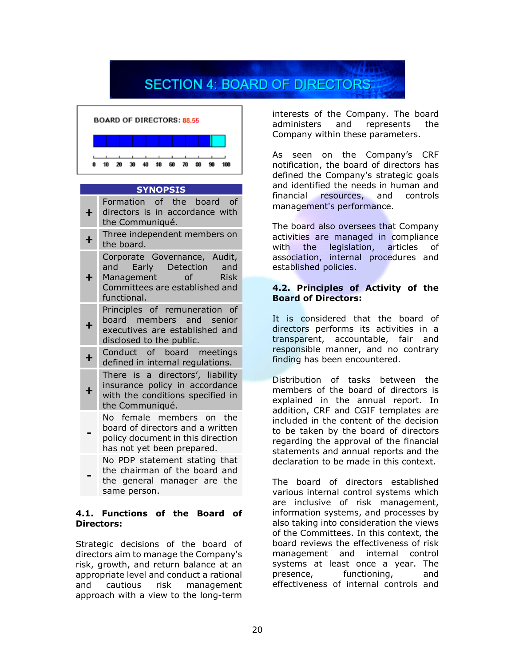## **SECTION 4: BOARD OF DIRECTORS**



#### **SYNOPSIS**

| ╋ | Formation of the board of<br>directors is in accordance with<br>the Communiqué.                                                          |
|---|------------------------------------------------------------------------------------------------------------------------------------------|
| ٠ | Three independent members on<br>the board.                                                                                               |
| ┿ | Corporate Governance, Audit,<br>and Early Detection and<br>Management of<br><b>Risk</b><br>Committees are established and<br>functional. |
| ╋ | Principles of remuneration of<br>board members and senior<br>executives are established and<br>disclosed to the public.                  |
| ٠ | Conduct of board meetings<br>defined in internal regulations.                                                                            |
| ╊ | There is a directors', liability<br>insurance policy in accordance<br>with the conditions specified in<br>the Communiqué.                |
|   | No female members on the<br>board of directors and a written<br>policy document in this direction<br>has not yet been prepared.          |
|   | No PDP statement stating that<br>the chairman of the board and<br>the general manager are the                                            |

#### **4.1. Functions of the Board of Directors:**

same person.

Strategic decisions of the board of directors aim to manage the Company's risk, growth, and return balance at an appropriate level and conduct a rational and cautious risk management approach with a view to the long-term

interests of the Company. The board administers and represents the Company within these parameters.

As seen on the Company's CRF notification, the board of directors has defined the Company's strategic goals and identified the needs in human and financial resources, and controls management's performance.

The board also oversees that Company activities are managed in compliance with the legislation, articles of association, internal procedures and established policies.

#### **4.2. Principles of Activity of the Board of Directors:**

It is considered that the board of directors performs its activities in a transparent, accountable, fair and responsible manner, and no contrary finding has been encountered.

Distribution of tasks between the members of the board of directors is explained in the annual report. In addition, CRF and CGIF templates are included in the content of the decision to be taken by the board of directors regarding the approval of the financial statements and annual reports and the declaration to be made in this context.

The board of directors established various internal control systems which are inclusive of risk management, information systems, and processes by also taking into consideration the views of the Committees. In this context, the board reviews the effectiveness of risk management and internal control systems at least once a year. The presence, functioning, and effectiveness of internal controls and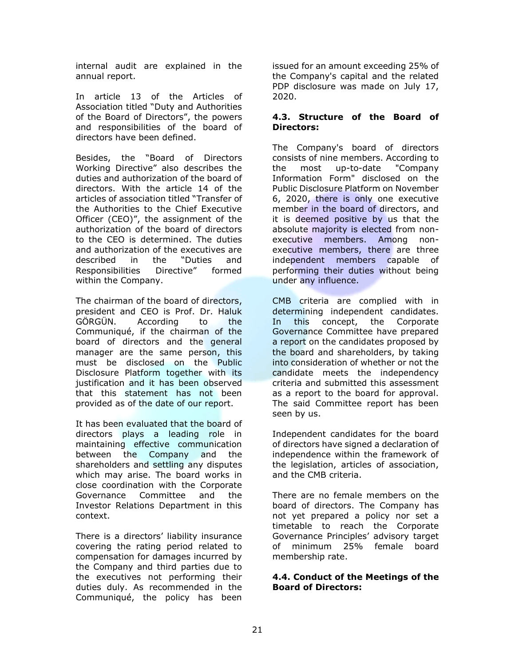internal audit are explained in the annual report.

In article 13 of the Articles of Association titled "Duty and Authorities of the Board of Directors", the powers and responsibilities of the board of directors have been defined.

Besides, the "Board of Directors Working Directive" also describes the duties and authorization of the board of directors. With the article 14 of the articles of association titled "Transfer of the Authorities to the Chief Executive Officer (CEO)", the assignment of the authorization of the board of directors to the CEO is determined. The duties and authorization of the executives are described in the "Duties and Responsibilities Directive" formed within the Company.

The chairman of the board of directors, president and CEO is Prof. Dr. Haluk GÖRGÜN. According to the Communiqué, if the chairman of the board of directors and the general manager are the same person, this must be disclosed on the Public Disclosure Platform together with its justification and it has been observed that this statement has not been provided as of the date of our report.

It has been evaluated that the board of directors plays a leading role in maintaining effective communication between the Company and the shareholders and settling any disputes which may arise. The board works in close coordination with the Corporate Governance Committee and the Investor Relations Department in this context.

There is a directors' liability insurance covering the rating period related to compensation for damages incurred by the Company and third parties due to the executives not performing their duties duly. As recommended in the Communiqué, the policy has been

issued for an amount exceeding 25% of the Company's capital and the related PDP disclosure was made on July 17, 2020.

#### **4.3. Structure of the Board of Directors:**

The Company's board of directors consists of nine members. According to the most up-to-date "Company Information Form" disclosed on the Public Disclosure Platform on November 6, 2020, there is only one executive member in the board of directors, and it is deemed positive by us that the absolute majority is elected from nonexecutive members. Among nonexecutive members, there are three independent members capable of performing their duties without being under any influence.

CMB criteria are complied with in determining independent candidates. In this concept, the Corporate Governance Committee have prepared a report on the candidates proposed by the board and shareholders, by taking into consideration of whether or not the candidate meets the independency criteria and submitted this assessment as a report to the board for approval. The said Committee report has been seen by us.

Independent candidates for the board of directors have signed a declaration of independence within the framework of the legislation, articles of association, and the CMB criteria.

There are no female members on the board of directors. The Company has not yet prepared a policy nor set a timetable to reach the Corporate Governance Principles' advisory target of minimum 25% female board membership rate.

#### **4.4. Conduct of the Meetings of the Board of Directors:**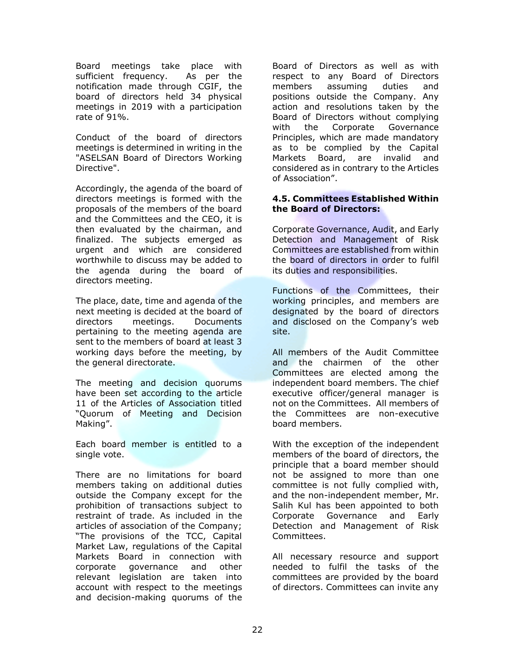Board meetings take place with sufficient frequency. As per the notification made through CGIF, the board of directors held 34 physical meetings in 2019 with a participation rate of 91%.

Conduct of the board of directors meetings is determined in writing in the "ASELSAN Board of Directors Working Directive".

Accordingly, the agenda of the board of directors meetings is formed with the proposals of the members of the board and the Committees and the CEO, it is then evaluated by the chairman, and finalized. The subjects emerged as urgent and which are considered worthwhile to discuss may be added to the agenda during the board of directors meeting.

The place, date, time and agenda of the next meeting is decided at the board of directors meetings. Documents pertaining to the meeting agenda are sent to the members of board at least 3 working days before the meeting, by the general directorate.

The meeting and decision quorums have been set according to the article 11 of the Articles of Association titled "Quorum of Meeting and Decision Making".

Each board member is entitled to a single vote.

There are no limitations for board members taking on additional duties outside the Company except for the prohibition of transactions subject to restraint of trade. As included in the articles of association of the Company; "The provisions of the TCC, Capital Market Law, regulations of the Capital Markets Board in connection with corporate governance and other relevant legislation are taken into account with respect to the meetings and decision-making quorums of the

Board of Directors as well as with respect to any Board of Directors members assuming duties and positions outside the Company. Any action and resolutions taken by the Board of Directors without complying with the Corporate Governance Principles, which are made mandatory as to be complied by the Capital Markets Board, are invalid and considered as in contrary to the Articles of Association".

#### **4.5. Committees Established Within the Board of Directors:**

Corporate Governance, Audit, and Early Detection and Management of Risk Committees are established from within the board of directors in order to fulfil its duties and responsibilities.

Functions of the Committees, their working principles, and members are designated by the board of directors and disclosed on the Company's web site.

All members of the Audit Committee and the chairmen of the other Committees are elected among the independent board members. The chief executive officer/general manager is not on the Committees. All members of the Committees are non-executive board members.

With the exception of the independent members of the board of directors, the principle that a board member should not be assigned to more than one committee is not fully complied with, and the non-independent member, Mr. Salih Kul has been appointed to both Corporate Governance and Early Detection and Management of Risk Committees.

All necessary resource and support needed to fulfil the tasks of the committees are provided by the board of directors. Committees can invite any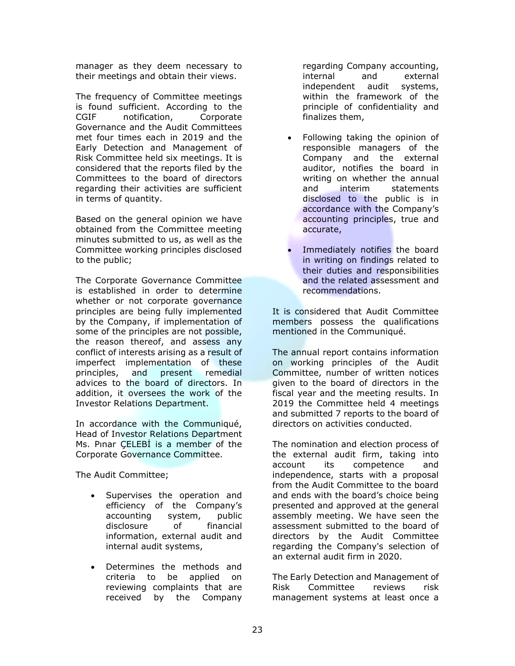manager as they deem necessary to their meetings and obtain their views.

The frequency of Committee meetings is found sufficient. According to the CGIF notification, Corporate Governance and the Audit Committees met four times each in 2019 and the Early Detection and Management of Risk Committee held six meetings. It is considered that the reports filed by the Committees to the board of directors regarding their activities are sufficient in terms of quantity.

Based on the general opinion we have obtained from the Committee meeting minutes submitted to us, as well as the Committee working principles disclosed to the public;

The Corporate Governance Committee is established in order to determine whether or not corporate governance principles are being fully implemented by the Company, if implementation of some of the principles are not possible, the reason thereof, and assess any conflict of interests arising as a result of imperfect implementation of these principles, and present remedial advices to the board of directors. In addition, it oversees the work of the Investor Relations Department.

In accordance with the Communiqué, Head of Investor Relations Department Ms. Pınar ÇELEBİ is a member of the Corporate Governance Committee.

The Audit Committee;

- Supervises the operation and efficiency of the Company's accounting system, public disclosure of financial information, external audit and internal audit systems,
- Determines the methods and criteria to be applied on reviewing complaints that are received by the Company

regarding Company accounting, internal and external independent audit systems, within the framework of the principle of confidentiality and finalizes them,

- Following taking the opinion of responsible managers of the Company and the external auditor, notifies the board in writing on whether the annual and interim statements disclosed to the public is in accordance with the Company's accounting principles, true and accurate,
- Immediately notifies the board in writing on findings related to their duties and responsibilities and the related assessment and recommendations.

It is considered that Audit Committee members possess the qualifications mentioned in the Communiqué.

The annual report contains information on working principles of the Audit Committee, number of written notices given to the board of directors in the fiscal year and the meeting results. In 2019 the Committee held 4 meetings and submitted 7 reports to the board of directors on activities conducted.

The nomination and election process of the external audit firm, taking into account its competence and independence, starts with a proposal from the Audit Committee to the board and ends with the board's choice being presented and approved at the general assembly meeting. We have seen the assessment submitted to the board of directors by the Audit Committee regarding the Company's selection of an external audit firm in 2020.

The Early Detection and Management of Risk Committee reviews risk management systems at least once a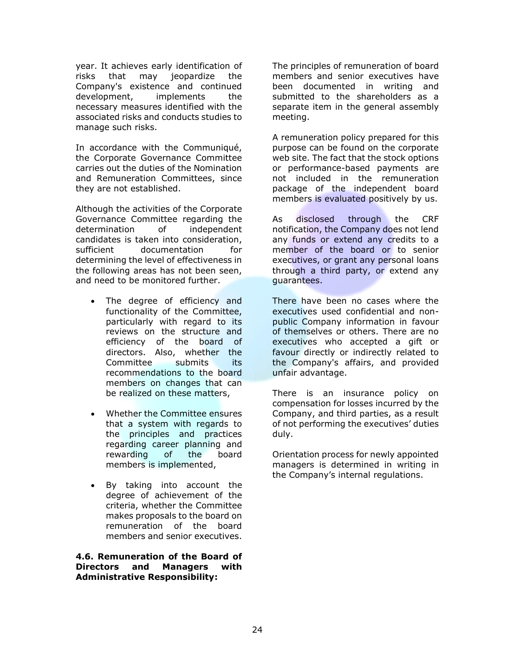year. It achieves early identification of risks that may jeopardize the Company's existence and continued development, implements the necessary measures identified with the associated risks and conducts studies to manage such risks.

In accordance with the Communiqué, the Corporate Governance Committee carries out the duties of the Nomination and Remuneration Committees, since they are not established.

Although the activities of the Corporate Governance Committee regarding the determination of independent candidates is taken into consideration, sufficient documentation for determining the level of effectiveness in the following areas has not been seen, and need to be monitored further.

- The degree of efficiency and functionality of the Committee, particularly with regard to its reviews on the structure and efficiency of the board of directors. Also, whether the Committee submits its recommendations to the board members on changes that can be realized on these matters,
- Whether the Committee ensures that a system with regards to the principles and practices regarding career planning and rewarding of the board members is implemented,
- By taking into account the degree of achievement of the criteria, whether the Committee makes proposals to the board on remuneration of the board members and senior executives.

**4.6. Remuneration of the Board of Directors and Managers with Administrative Responsibility:**

The principles of remuneration of board members and senior executives have been documented in writing and submitted to the shareholders as a separate item in the general assembly meeting.

A remuneration policy prepared for this purpose can be found on the corporate web site. The fact that the stock options or performance-based payments are not included in the remuneration package of the independent board members is evaluated positively by us.

As disclosed through the CRF notification, the Company does not lend any funds or extend any credits to a member of the board or to senior executives, or grant any personal loans through a third party, or extend any guarantees.

There have been no cases where the executives used confidential and nonpublic Company information in favour of themselves or others. There are no executives who accepted a gift or favour directly or indirectly related to the Company's affairs, and provided unfair advantage.

There is an insurance policy on compensation for losses incurred by the Company, and third parties, as a result of not performing the executives' duties duly.

Orientation process for newly appointed managers is determined in writing in the Company's internal regulations.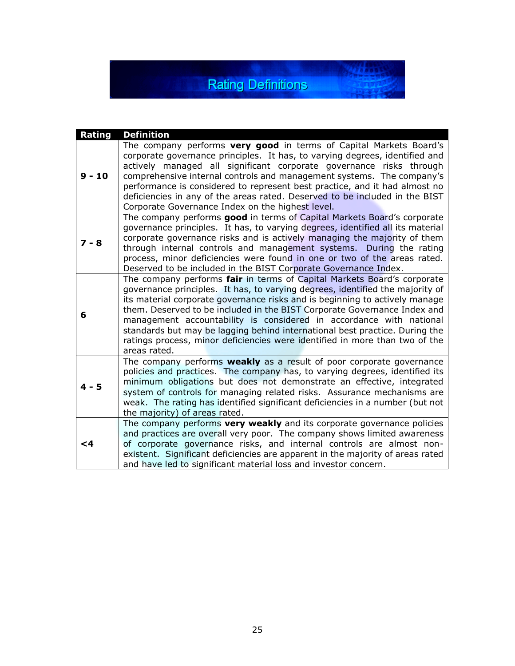**Rating Definitions** 

家庭

| Rating   | <b>Definition</b>                                                                                                                                                                                                                                                                                                                                                                                                                                                                                                                                                        |
|----------|--------------------------------------------------------------------------------------------------------------------------------------------------------------------------------------------------------------------------------------------------------------------------------------------------------------------------------------------------------------------------------------------------------------------------------------------------------------------------------------------------------------------------------------------------------------------------|
| $9 - 10$ | The company performs very good in terms of Capital Markets Board's<br>corporate governance principles. It has, to varying degrees, identified and<br>actively managed all significant corporate governance risks through<br>comprehensive internal controls and management systems. The company's<br>performance is considered to represent best practice, and it had almost no<br>deficiencies in any of the areas rated. Deserved to be included in the BIST<br>Corporate Governance Index on the highest level.                                                       |
| $7 - 8$  | The company performs good in terms of Capital Markets Board's corporate<br>governance principles. It has, to varying degrees, identified all its material<br>corporate governance risks and is actively managing the majority of them<br>through internal controls and management systems. During the rating<br>process, minor deficiencies were found in one or two of the areas rated.<br>Deserved to be included in the BIST Corporate Governance Index.                                                                                                              |
| 6        | The company performs fair in terms of Capital Markets Board's corporate<br>governance principles. It has, to varying degrees, identified the majority of<br>its material corporate governance risks and is beginning to actively manage<br>them. Deserved to be included in the BIST Corporate Governance Index and<br>management accountability is considered in accordance with national<br>standards but may be lagging behind international best practice. During the<br>ratings process, minor deficiencies were identified in more than two of the<br>areas rated. |
| $4 - 5$  | The company performs weakly as a result of poor corporate governance<br>policies and practices. The company has, to varying degrees, identified its<br>minimum obligations but does not demonstrate an effective, integrated<br>system of controls for managing related risks. Assurance mechanisms are<br>weak. The rating has identified significant deficiencies in a number (but not<br>the majority) of areas rated.                                                                                                                                                |
| $\leq 4$ | The company performs very weakly and its corporate governance policies<br>and practices are overall very poor. The company shows limited awareness<br>of corporate governance risks, and internal controls are almost non-<br>existent. Significant deficiencies are apparent in the majority of areas rated<br>and have led to significant material loss and investor concern.                                                                                                                                                                                          |